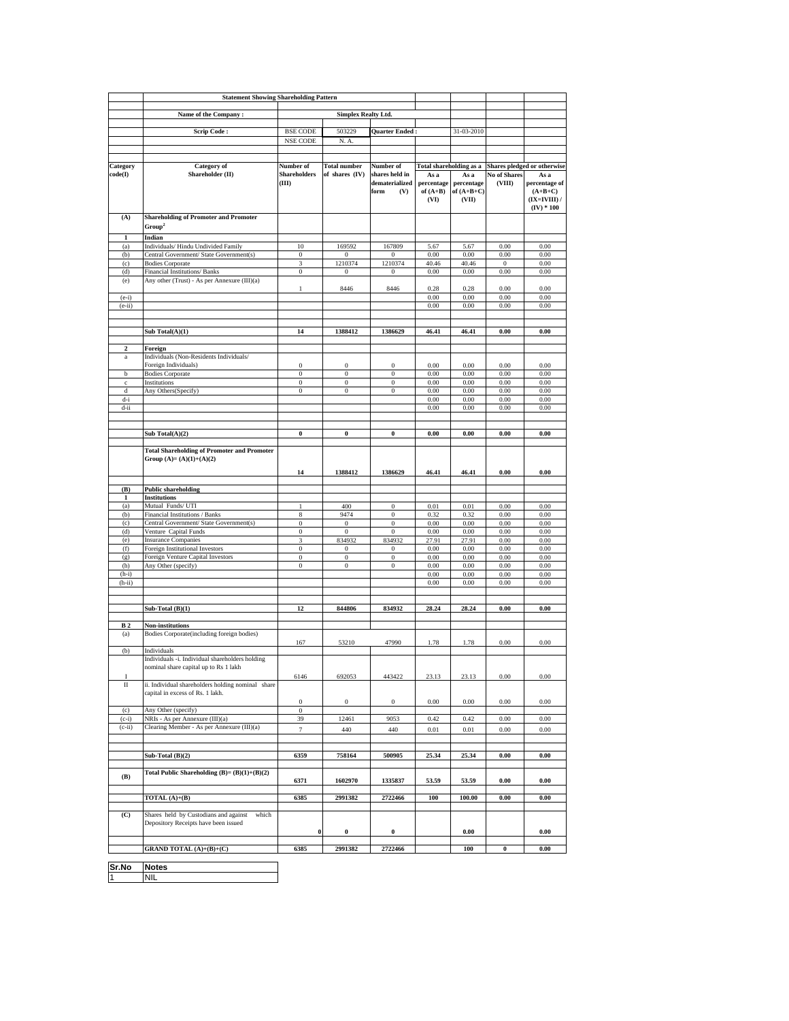|              | <b>Statement Showing Shareholding Pattern</b>                                                           |                                                    |                                      |                                                 |                                          |                                             |                               |                                                                      |
|--------------|---------------------------------------------------------------------------------------------------------|----------------------------------------------------|--------------------------------------|-------------------------------------------------|------------------------------------------|---------------------------------------------|-------------------------------|----------------------------------------------------------------------|
|              |                                                                                                         |                                                    |                                      |                                                 |                                          |                                             |                               |                                                                      |
|              |                                                                                                         | Name of the Company:<br><b>Simplex Realty Ltd.</b> |                                      |                                                 |                                          |                                             |                               |                                                                      |
|              | <b>Scrip Code:</b>                                                                                      | <b>BSE CODE</b>                                    | 503229                               | Quarter Ended                                   |                                          | 31-03-2010                                  |                               |                                                                      |
|              |                                                                                                         | NSE CODE                                           | N. A.                                |                                                 |                                          |                                             |                               |                                                                      |
|              |                                                                                                         |                                                    |                                      |                                                 |                                          |                                             |                               |                                                                      |
| Category     | <b>Category</b> of                                                                                      | Number of                                          | <b>Total number</b>                  | Number of                                       | <b>Total shareholding as a</b>           |                                             |                               | Shares pledged or otherwise                                          |
| code(I)      | Shareholder (II)                                                                                        | <b>Shareholders</b><br>(III)                       | of shares (IV)                       | shares held in<br>dematerialized<br>form<br>(V) | As a<br>percentage<br>of $(A+B)$<br>(VI) | As a<br>percentage<br>of $(A+B+C)$<br>(VII) | <b>No of Shares</b><br>(VIII) | As a<br>percentage of<br>$(A+B+C)$<br>$(IX=IVIII)$ /<br>$(IV) * 100$ |
| (A)          | <b>Shareholding of Promoter and Promoter</b>                                                            |                                                    |                                      |                                                 |                                          |                                             |                               |                                                                      |
|              | Group <sup>2</sup>                                                                                      |                                                    |                                      |                                                 |                                          |                                             |                               |                                                                      |
| 1            | Indian                                                                                                  |                                                    |                                      |                                                 |                                          |                                             |                               |                                                                      |
| (a)          | Individuals/Hindu Undivided Family                                                                      | 10                                                 | 169592                               | 167809                                          | 5.67                                     | 5.67                                        | 0.00                          | 0.00                                                                 |
| (b)          | Central Government/ State Government(s)                                                                 | $\bf{0}$                                           | $\Omega$                             | $\bf{0}$                                        | 0.00                                     | 0.00                                        | 0.00                          | 0.00                                                                 |
| (c)<br>(d)   | <b>Bodies Corporate</b><br>Financial Institutions/ Banks                                                | 3<br>$\bf{0}$                                      | 1210374<br>0                         | 1210374<br>$\bf{0}$                             | 40.46<br>0.00                            | 40.46<br>0.00                               | $\,0$<br>0.00                 | 0.00<br>0.00                                                         |
| (e)          | Any other (Trust) - As per Annexure (III)(a)                                                            |                                                    |                                      |                                                 |                                          |                                             |                               |                                                                      |
|              |                                                                                                         | $\mathbf{1}$                                       | 8446                                 | 8446                                            | 0.28                                     | 0.28                                        | 0.00                          | 0.00                                                                 |
| $(e-i)$      |                                                                                                         |                                                    |                                      |                                                 | 0.00                                     | 0.00                                        | 0.00                          | 0.00                                                                 |
| $(e-ii)$     |                                                                                                         |                                                    |                                      |                                                 | 0.00                                     | 0.00                                        | 0.00                          | 0.00                                                                 |
|              |                                                                                                         |                                                    |                                      |                                                 |                                          |                                             |                               |                                                                      |
|              | Sub Total(A)(1)                                                                                         | 14                                                 | 1388412                              | 1386629                                         | 46.41                                    | 46.41                                       | 0.00                          | 0.00                                                                 |
|              |                                                                                                         |                                                    |                                      |                                                 |                                          |                                             |                               |                                                                      |
| $\mathbf{c}$ | Foreign                                                                                                 |                                                    |                                      |                                                 |                                          |                                             |                               |                                                                      |
| $\rm{a}$     | Individuals (Non-Residents Individuals/                                                                 |                                                    |                                      |                                                 |                                          |                                             |                               |                                                                      |
| b            | Foreign Individuals)<br><b>Bodies Corporate</b>                                                         | $\bf{0}$<br>$\boldsymbol{0}$                       | $\boldsymbol{0}$<br>$\,0\,$          | $\boldsymbol{0}$<br>$\boldsymbol{0}$            | 0.00<br>0.00                             | 0.00<br>0.00                                | 0.00<br>0.00                  | 0.00<br>0.00                                                         |
| $\mathbf c$  | Institutions                                                                                            | $\bf{0}$                                           | $\bf{0}$                             | $\boldsymbol{0}$                                | 0.00                                     | 0.00                                        | 0.00                          | 0.00                                                                 |
| d            | Any Others(Specify)                                                                                     | $\bf{0}$                                           | $\boldsymbol{0}$                     | $\bf{0}$                                        | 0.00                                     | 0.00                                        | 0.00                          | 0.00                                                                 |
| d-i          |                                                                                                         |                                                    |                                      |                                                 | 0.00                                     | 0.00                                        | 0.00                          | 0.00                                                                 |
| d-ii         |                                                                                                         |                                                    |                                      |                                                 | 0.00                                     | 0.00                                        | 0.00                          | 0.00                                                                 |
|              |                                                                                                         |                                                    |                                      |                                                 |                                          |                                             |                               |                                                                      |
|              | Sub Total(A)(2)                                                                                         | $\bf{0}$                                           | $\pmb{0}$                            | $\bf{0}$                                        | 0.00                                     | 0.00                                        | 0.00                          | 0.00                                                                 |
|              |                                                                                                         |                                                    |                                      |                                                 |                                          |                                             |                               |                                                                      |
|              | <b>Total Shareholding of Promoter and Promoter</b><br>Group $(A)=(A)(1)+(A)(2)$                         | 14                                                 | 1388412                              | 1386629                                         | 46.41                                    | 46.41                                       | 0.00                          | 0.00                                                                 |
|              |                                                                                                         |                                                    |                                      |                                                 |                                          |                                             |                               |                                                                      |
| (B)          | <b>Public shareholding</b>                                                                              |                                                    |                                      |                                                 |                                          |                                             |                               |                                                                      |
| 1            | <b>Institutions</b>                                                                                     |                                                    |                                      |                                                 |                                          |                                             |                               |                                                                      |
| (a)<br>(b)   | Mutual Funds/ UTI<br>Financial Institutions / Banks                                                     | $\mathbf{1}$<br>8                                  | 400<br>9474                          | $\bf{0}$<br>$\boldsymbol{0}$                    | 0.01<br>0.32                             | 0.01<br>0.32                                | 0.00<br>0.00                  | 0.00<br>0.00                                                         |
| (c)          | Central Government/ State Government(s)                                                                 | $\bf{0}$                                           | $\,0$                                | $\boldsymbol{0}$                                | 0.00                                     | 0.00                                        | 0.00                          | 0.00                                                                 |
| (d)          | Venture Capital Funds                                                                                   | $\boldsymbol{0}$                                   | $\,0\,$                              | $\boldsymbol{0}$                                | 0.00                                     | 0.00                                        | 0.00                          | 0.00                                                                 |
| (e)          | <b>Insurance Companies</b>                                                                              | 3                                                  | 834932                               | 834932                                          | 27.91                                    | 27.91                                       | 0.00                          | 0.00                                                                 |
| (f)          | Foreign Institutional Investors                                                                         | $\bf{0}$                                           | $\boldsymbol{0}$                     | $\bf{0}$                                        | 0.00                                     | 0.00                                        | 0.00                          | 0.00                                                                 |
| (g)<br>(h)   | Foreign Venture Capital Investors                                                                       | $\bf{0}$<br>$\bf{0}$                               | $\boldsymbol{0}$<br>$\boldsymbol{0}$ | $\boldsymbol{0}$<br>$\boldsymbol{0}$            | 0.00<br>0.00                             | 0.00<br>0.00                                | 0.00<br>0.00                  | 0.00<br>0.00                                                         |
| $(h-i)$      | Any Other (specify)                                                                                     |                                                    |                                      |                                                 | 0.00                                     | 0.00                                        | 0.00                          | 0.00                                                                 |
| $(h-ii)$     |                                                                                                         |                                                    |                                      |                                                 | 0.00                                     | 0.00                                        | 0.00                          | 0.00                                                                 |
|              |                                                                                                         |                                                    |                                      |                                                 |                                          |                                             |                               |                                                                      |
|              |                                                                                                         |                                                    |                                      |                                                 |                                          |                                             |                               |                                                                      |
|              | Sub-Total $(B)(1)$                                                                                      | 12                                                 | 844806                               | 834932                                          | 28.24                                    | 28.24                                       | 0.00                          | 0.00                                                                 |
| <b>B2</b>    | Non-institutions                                                                                        |                                                    |                                      |                                                 |                                          |                                             |                               |                                                                      |
| (a)          | Bodies Corporate(including foreign bodies)                                                              |                                                    |                                      |                                                 |                                          |                                             |                               |                                                                      |
|              |                                                                                                         | 167                                                | 53210                                | 47990                                           | 1.78                                     | 1.78                                        | 0.00                          | 0.00                                                                 |
| (b)          | Individuals<br>Individuals -i. Individual shareholders holding<br>nominal share capital up to Rs 1 lakh |                                                    |                                      |                                                 |                                          |                                             |                               |                                                                      |
| I            |                                                                                                         | 6146                                               | 692053                               | 443422                                          | 23.13                                    | 23.13                                       | $0.00\,$                      | 0.00                                                                 |
| Π            | ii. Individual shareholders holding nominal share<br>capital in excess of Rs. 1 lakh.                   | $\boldsymbol{0}$                                   | $\,0$                                | $\,0\,$                                         | 0.00                                     | 0.00                                        | 0.00                          | 0.00                                                                 |
| (c)          | Any Other (specify)                                                                                     | $\,0\,$                                            |                                      |                                                 |                                          |                                             |                               |                                                                      |
| $(c-i)$      | NRIs - As per Annexure (III)(a)<br>Clearing Member - As per Annexure (III)(a)                           | 39                                                 | 12461                                | 9053                                            | 0.42                                     | 0.42                                        | 0.00                          | 0.00                                                                 |
| $(c-ii)$     |                                                                                                         | $\tau$                                             | 440                                  | 440                                             | 0.01                                     | 0.01                                        | 0.00                          | 0.00                                                                 |
|              |                                                                                                         |                                                    |                                      |                                                 |                                          |                                             |                               |                                                                      |
|              | Sub-Total $(B)(2)$                                                                                      | 6359                                               | 758164                               | 500905                                          | 25.34                                    | 25.34                                       | $\boldsymbol{0.00}$           | $\boldsymbol{0.00}$                                                  |
|              |                                                                                                         |                                                    |                                      |                                                 |                                          |                                             |                               |                                                                      |
| (B)          | Total Public Shareholding $(B)=(B)(1)+(B)(2)$                                                           | 6371                                               | 1602970                              | 1335837                                         | 53.59                                    | 53.59                                       | 0.00                          | 0.00                                                                 |
|              | $\overline{\text{TOTAL}(A)} + (B)$                                                                      | 6385                                               | 2991382                              | 2722466                                         | 100                                      | 100.00                                      | 0.00                          | $\boldsymbol{0.00}$                                                  |
|              |                                                                                                         |                                                    |                                      |                                                 |                                          |                                             |                               |                                                                      |
| (C)          | Shares held by Custodians and against<br>which<br>Depository Receipts have been issued                  | $\bf{0}$                                           | $\pmb{0}$                            | $\boldsymbol{0}$                                |                                          | $0.00\,$                                    |                               | 0.00                                                                 |
|              |                                                                                                         |                                                    |                                      |                                                 |                                          |                                             |                               |                                                                      |
|              | <b>GRAND TOTAL</b> (A)+(B)+(C)                                                                          | 6385                                               | 2991382                              | 2722466                                         |                                          | 100                                         | $\pmb{0}$                     | 0.00                                                                 |
| Sr No        | <b>Notes</b>                                                                                            |                                                    |                                      |                                                 |                                          |                                             |                               |                                                                      |

**Sr.No Notes** 1 NIL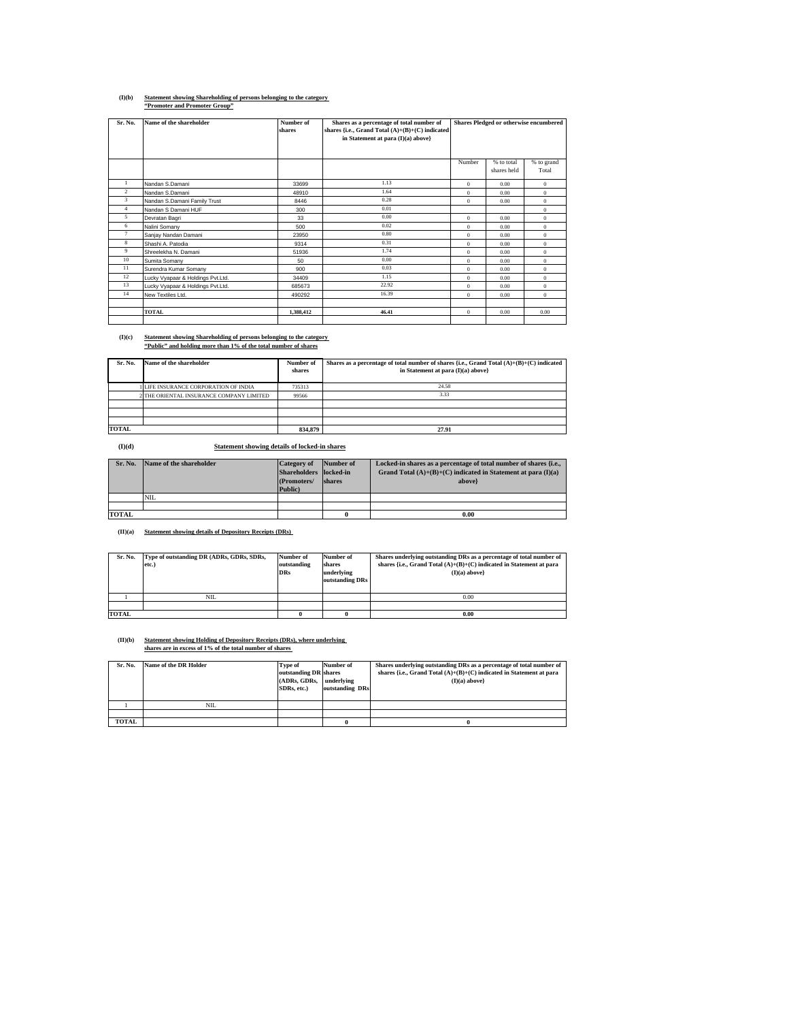## **(I)(b) Statement showing Shareholding of persons belonging to the category "Promoter and Promoter Group"**

| Sr. No.        | Name of the shareholder           | Number of | Shares as a percentage of total number of                                               | Shares Pledged or otherwise encumbered |             |              |
|----------------|-----------------------------------|-----------|-----------------------------------------------------------------------------------------|----------------------------------------|-------------|--------------|
|                |                                   | shares    | shares {i.e., Grand Total $(A)+(B)+(C)$ indicated<br>in Statement at para (I)(a) above} |                                        |             |              |
|                |                                   |           |                                                                                         |                                        |             |              |
|                |                                   |           |                                                                                         |                                        |             |              |
|                |                                   |           |                                                                                         | Number                                 | % to total  | % to grand   |
|                |                                   |           |                                                                                         |                                        | shares held | Total        |
|                | Nandan S.Damani                   | 33699     | 1.13                                                                                    | $\mathbf{0}$                           | 0.00        | $\mathbf{0}$ |
| $\overline{c}$ | Nandan S.Damani                   | 48910     | 1.64                                                                                    | $\theta$                               | 0.00        | $\Omega$     |
| 3              | Nandan S.Damani Family Trust      | 8446      | 0.28                                                                                    | $\theta$                               | 0.00        | $\Omega$     |
| $\overline{4}$ | Nandan S Damani HUF               | 300       | 0.01                                                                                    |                                        |             | $\bf{0}$     |
| 5              | Devratan Bagri                    | 33        | 0.00                                                                                    | $\theta$                               | 0.00        | $\bf{0}$     |
| 6              | Nalini Somany                     | 500       | 0.02                                                                                    | $\mathbf{0}$                           | 0.00        | $\bf{0}$     |
| 7              | Sanjay Nandan Damani              | 23950     | 0.80                                                                                    | $\theta$                               | 0.00        | $\bf{0}$     |
| 8              | Shashi A. Patodia                 | 9314      | 0.31                                                                                    | $\theta$                               | 0.00        | $\bf{0}$     |
| 9              | Shreelekha N. Damani              | 51936     | 1.74                                                                                    | $\theta$                               | 0.00        | $\Omega$     |
| 10             | Sumita Somany                     | 50        | 0.00                                                                                    | $\theta$                               | 0.00        | $\mathbf{0}$ |
| 11             | Surendra Kumar Somany             | 900       | 0.03                                                                                    | $\theta$                               | 0.00        | $\bf{0}$     |
| 12             | Lucky Vyapaar & Holdings Pvt.Ltd. | 34409     | 1.15                                                                                    | $\mathbf{0}$                           | 0.00        | $\bf{0}$     |
| 13             | Lucky Vyapaar & Holdings Pvt.Ltd. | 685673    | 22.92                                                                                   | $\theta$                               | 0.00        | $\Omega$     |
| 14             | New Textiles Ltd.                 | 490292    | 16.39                                                                                   | $\theta$                               | 0.00        | $\mathbf{0}$ |
|                |                                   |           |                                                                                         |                                        |             |              |
|                | <b>TOTAL</b>                      | 1,388,412 | 46.41                                                                                   | $\theta$                               | 0.00        | 0.00         |
|                |                                   |           |                                                                                         |                                        |             |              |

# **(I)(c) Statement showing Shareholding of persons belonging to the category "Public" and holding more than 1% of the total number of shares**

| Sr. No.      | Name of the shareholder                  | Number of<br>shares | Shares as a percentage of total number of shares {i.e., Grand Total $(A)+(B)+(C)$ indicated<br>in Statement at para (I)(a) above} |
|--------------|------------------------------------------|---------------------|-----------------------------------------------------------------------------------------------------------------------------------|
|              | LIFE INSURANCE CORPORATION OF INDIA      | 735313              | 24.58                                                                                                                             |
|              | 2 THE ORIENTAL INSURANCE COMPANY LIMITED | 99566               | 3.33                                                                                                                              |
|              |                                          |                     |                                                                                                                                   |
|              |                                          |                     |                                                                                                                                   |
|              |                                          |                     |                                                                                                                                   |
| <b>TOTAL</b> |                                          | 834.879             | 27.91                                                                                                                             |

**(I)(d) Statement showing details of locked-in shares**

| Sr. No.      | Name of the shareholder | <b>Category</b> of     | Number of | Locked-in shares as a percentage of total number of shares {i.e., |
|--------------|-------------------------|------------------------|-----------|-------------------------------------------------------------------|
|              |                         | Shareholders locked-in |           | Grand Total $(A)+(B)+(C)$ indicated in Statement at para $(I)(a)$ |
|              |                         | (Promoters/            | shares    | above}                                                            |
|              |                         | Public)                |           |                                                                   |
|              | <b>NIL</b>              |                        |           |                                                                   |
|              |                         |                        |           |                                                                   |
| <b>TOTAL</b> |                         |                        |           | 0.00                                                              |

**(II)(a) Statement showing details of Depository Receipts (DRs)** 

| Sr. No.      | Type of outstanding DR (ADRs, GDRs, SDRs,<br>etc.) | Number of<br>outstanding<br><b>DRs</b> | Number of<br>shares<br>underlying<br>outstanding DRs | Shares underlying outstanding DRs as a percentage of total number of<br>shares {i.e., Grand Total $(A)+(B)+(C)$ indicated in Statement at para<br>$(I)(a)$ above |
|--------------|----------------------------------------------------|----------------------------------------|------------------------------------------------------|------------------------------------------------------------------------------------------------------------------------------------------------------------------|
|              | <b>NIL</b>                                         |                                        |                                                      | 0.00                                                                                                                                                             |
|              |                                                    |                                        |                                                      |                                                                                                                                                                  |
| <b>TOTAL</b> |                                                    |                                        |                                                      | 0.00                                                                                                                                                             |

## **(II)(b) Statement showing Holding of Depository Receipts (DRs), where underlying shares are in excess of 1% of the total number of shares**

| Sr. No.      | Name of the DR Holder | Type of               | Number of       | Shares underlying outstanding DRs as a percentage of total number of   |
|--------------|-----------------------|-----------------------|-----------------|------------------------------------------------------------------------|
|              |                       | outstanding DR shares |                 | shares {i.e., Grand Total $(A)+(B)+(C)$ indicated in Statement at para |
|              |                       | (ADRs. GDRs.          | underlying      | $(I)(a)$ above                                                         |
|              |                       | SDRs. etc.)           | outstanding DRs |                                                                        |
|              |                       |                       |                 |                                                                        |
|              | <b>NIL</b>            |                       |                 |                                                                        |
|              |                       |                       |                 |                                                                        |
| <b>TOTAL</b> |                       |                       |                 |                                                                        |